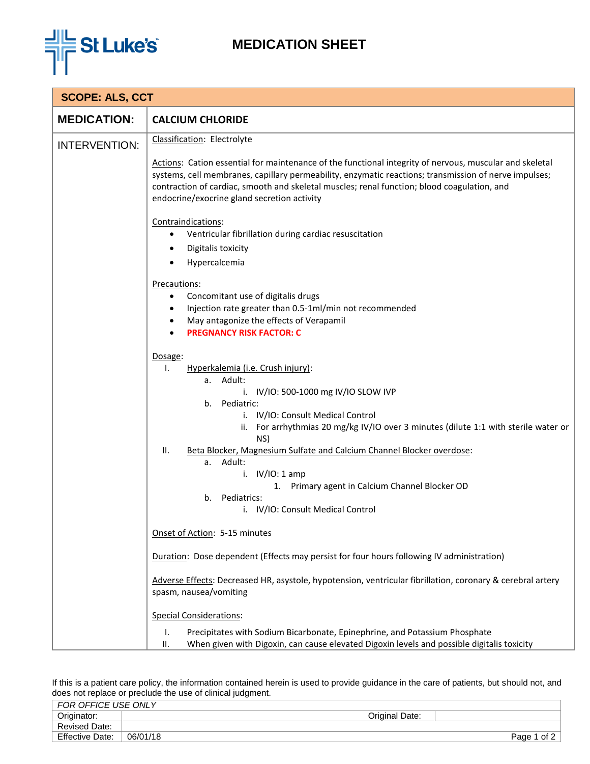

## **MEDICATION SHEET**

| <b>SCOPE: ALS, CCT</b> |                                                                                                                                                                                                                                                                                                                                                                                                                                                                                              |  |  |  |
|------------------------|----------------------------------------------------------------------------------------------------------------------------------------------------------------------------------------------------------------------------------------------------------------------------------------------------------------------------------------------------------------------------------------------------------------------------------------------------------------------------------------------|--|--|--|
| <b>MEDICATION:</b>     | <b>CALCIUM CHLORIDE</b>                                                                                                                                                                                                                                                                                                                                                                                                                                                                      |  |  |  |
| <b>INTERVENTION:</b>   | Classification: Electrolyte                                                                                                                                                                                                                                                                                                                                                                                                                                                                  |  |  |  |
|                        | Actions: Cation essential for maintenance of the functional integrity of nervous, muscular and skeletal<br>systems, cell membranes, capillary permeability, enzymatic reactions; transmission of nerve impulses;<br>contraction of cardiac, smooth and skeletal muscles; renal function; blood coagulation, and<br>endocrine/exocrine gland secretion activity                                                                                                                               |  |  |  |
|                        | Contraindications:<br>Ventricular fibrillation during cardiac resuscitation<br>Digitalis toxicity<br>$\bullet$                                                                                                                                                                                                                                                                                                                                                                               |  |  |  |
|                        | Hypercalcemia                                                                                                                                                                                                                                                                                                                                                                                                                                                                                |  |  |  |
|                        | Precautions:<br>Concomitant use of digitalis drugs<br>$\bullet$<br>Injection rate greater than 0.5-1ml/min not recommended<br>$\bullet$<br>May antagonize the effects of Verapamil<br><b>PREGNANCY RISK FACTOR: C</b>                                                                                                                                                                                                                                                                        |  |  |  |
|                        | Dosage:<br>Hyperkalemia (i.e. Crush injury):<br>Ι.<br>a. Adult:<br>i. IV/IO: 500-1000 mg IV/IO SLOW IVP<br>Pediatric:<br>b.<br>i. IV/IO: Consult Medical Control<br>ii. For arrhythmias 20 mg/kg IV/IO over 3 minutes (dilute 1:1 with sterile water or<br>NS)<br>Beta Blocker, Magnesium Sulfate and Calcium Channel Blocker overdose:<br>ΙΙ.<br>a. Adult:<br>i. $IV/IO: 1 amp$<br>1. Primary agent in Calcium Channel Blocker OD<br>Pediatrics:<br>b.<br>i. IV/IO: Consult Medical Control |  |  |  |
|                        | Onset of Action: 5-15 minutes                                                                                                                                                                                                                                                                                                                                                                                                                                                                |  |  |  |
|                        | Duration: Dose dependent (Effects may persist for four hours following IV administration)                                                                                                                                                                                                                                                                                                                                                                                                    |  |  |  |
|                        | Adverse Effects: Decreased HR, asystole, hypotension, ventricular fibrillation, coronary & cerebral artery<br>spasm, nausea/vomiting                                                                                                                                                                                                                                                                                                                                                         |  |  |  |
|                        | <b>Special Considerations:</b>                                                                                                                                                                                                                                                                                                                                                                                                                                                               |  |  |  |
|                        | Ι.<br>Precipitates with Sodium Bicarbonate, Epinephrine, and Potassium Phosphate<br>When given with Digoxin, can cause elevated Digoxin levels and possible digitalis toxicity<br>ΙΙ.                                                                                                                                                                                                                                                                                                        |  |  |  |

If this is a patient care policy, the information contained herein is used to provide guidance in the care of patients, but should not, and does not replace or preclude the use of clinical judgment.

| FOR OFFICE USE ONLY    |          |                |                |
|------------------------|----------|----------------|----------------|
| Originator:            |          | Original Date: |                |
| <b>Revised Date:</b>   |          |                |                |
| <b>Effective Date:</b> | 06/01/18 |                | of 2<br>Page 1 |
|                        |          |                |                |